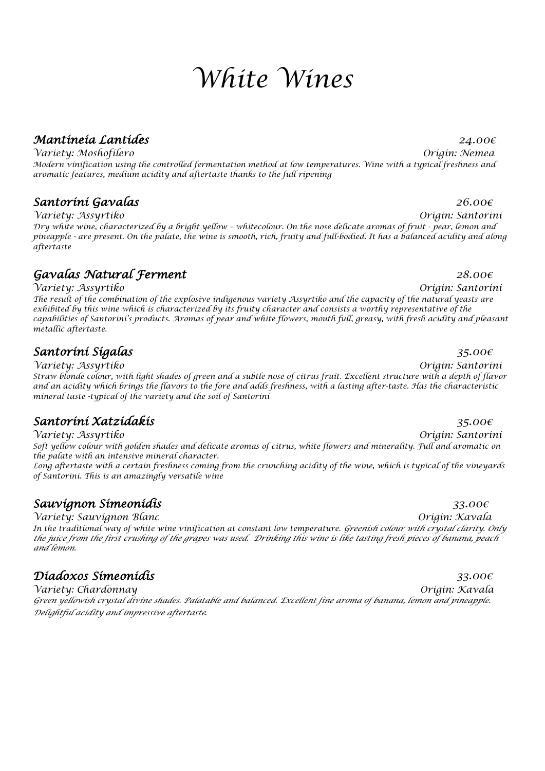# *White Wines*

### *Mantineia Lantides 24.00€*

*Variety: Moshofilero Origin: Nemea Modern vinification using the controlled fermentation method at low temperatures. Wine with a typical freshness and aromatic features, medium acidity and aftertaste thanks to the full ripening*

### *Santorini Gavalas 26.00€*

*Variety: Assyrtiko Origin: Santorini Dry white wine, characterized by a bright yellow – whitecolour. On the nose delicate aromas of fruit - pear, lemon and pineapple - are present. On the palate, the wine is smooth, rich, fruity and full-bodied. It has a balanced acidity and along aftertaste*

### *Gavalas Natural Ferment 28.00€*

*Variety: Assyrtiko Origin: Santorini The result of the combination of the explosive indigenous variety Assyrtiko and the capacity of the natural yeasts are exhibited by this wine which is characterized by its fruity character and consists a worthy representative of the capabilities of Santorini's products. Aromas of pear and white flowers, mouth full, greasy, with fresh acidity and pleasant metallic aftertaste.*

### *Santorini Sigalas 35.00€*

*Variety: Assyrtiko Origin: Santorini Straw blonde colour, with light shades of green and a subtle nose of citrus fruit. Excellent structure with a depth of flavor and an acidity which brings the flavors to the fore and adds freshness, with a lasting after-taste. Has the characteristic mineral taste -typical of the variety and the soil of Santorini*

### *Santorini Xatzidakis 35.00€*

*Variety: Assyrtiko Origin: Santorini Soft yellow colour with golden shades and delicate aromas of citrus, white flowers and minerality. Full and aromatic on the palate with an intensive mineral character.*

*Long aftertaste with a certain freshness coming from the crunching acidity of the wine, which is typical of the vineyards of Santorini. This is an amazingly versatile wine*

## *Sauvignon Simeonidis 33.00€*

*Variety: Sauvignon Blanc Origin: Kavala*

*In the traditional way of white wine vinification at constant low temperature. Greenish colour with crystal clarity. Only the juice from the first crushing of the grapes was used. Drinking this wine is like tasting fresh pieces of banana, peach and lemon.*

## *Diadoxos Simeonidis 33.00€*

*Variety: Chardonnay Origin: Kavala Green yellowish crystal divine shades. Palatable and balanced. Excellent fine aroma of banana, lemon and pineapple. Delightful acidity and impressive aftertaste.*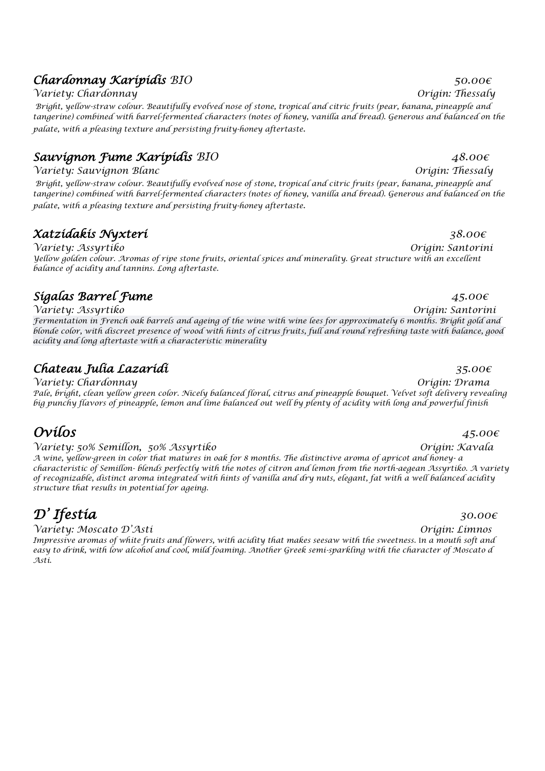### *Chardonnay Karipidis BIO 50.00€*

*Variety: Chardonnay Origin: Thessaly*

*Bright, yellow-straw colour. Beautifully evolved nose of stone, tropical and citric fruits (pear, banana, pineapple and tangerine) combined with barrel-fermented characters (notes of honey, vanilla and bread). Generous and balanced on the palate, with a pleasing texture and persisting fruity-honey aftertaste*.

### *Sauvignon Fume Karipidis BIO 48.00€*

*Variety: Sauvignon Blanc Origin: Thessaly*

*Bright, yellow-straw colour. Beautifully evolved nose of stone, tropical and citric fruits (pear, banana, pineapple and tangerine) combined with barrel-fermented characters (notes of honey, vanilla and bread). Generous and balanced on the palate, with a pleasing texture and persisting fruity-honey aftertaste*.

### *Xatzidakis Nyxteri 38.00€*

*Variety: Assyrtiko Origin: Santorini Yellow golden colour. Aromas of ripe stone fruits, oriental spices and minerality. Great structure with an excellent balance of acidity and tannins. Long aftertaste.*

## *Sigalas Barrel Fume 45.00€*

*Variety: Assyrtiko Origin: Santorini Fermentation in French oak barrels and ageing of the wine with wine lees for approximately 6 months. Bright gold and blonde color, with discreet presence of wood with hints of citrus fruits, full and round refreshing taste with balance, good acidity and long aftertaste with a characteristic minerality*

## *Chateau Julia Lazaridi 35.00€*

*Variety: Chardonnay Origin: Drama Pale, bright, clean yellow green color. Nicely balanced floral, citrus and pineapple bouquet. Velvet soft delivery revealing big punchy flavors of pineapple, lemon and lime balanced out well by plenty of acidity with long and powerful finish*

# $Ovílos$  *45.00€*

### *Variety: 50% Semillon, 50% Assyrtiko Origin: Kavala*

*A wine, yellow-green in color that matures in oak for 8 months. The distinctive aroma of apricot and honey- a characteristic of Semillon- blends perfectly with the notes of citron and lemon from the north-aegean Assyrtiko. A variety of recognizable, distinct aroma integrated with hints of vanilla and dry nuts, elegant, fat with a well balanced acidity structure that results in potential for ageing.*

# $\mathcal{D}'$  Ifestia  $\qquad \qquad$ 30.00€

*Variety: Moscato D'Asti Origin: Limnos Impressive aromas of white fruits and flowers, with acidity that makes seesaw with the sweetness.* Ι*n a mouth soft and easy to drink, with low alcohol and cool, mild foaming. Another Greek semi-sparkling with the character of Moscato d Asti.*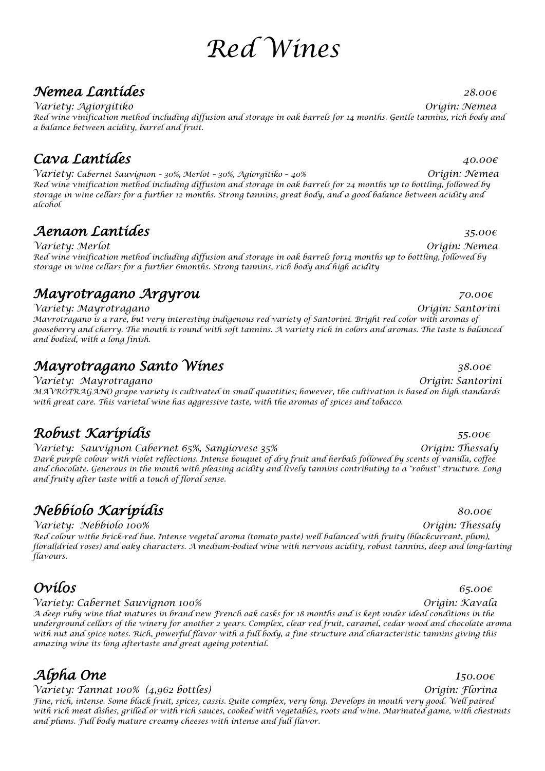# *Red Wines*

## *Nemea Lantides 28.00€*

*Variety: Agiorgitiko Origin: Nemea Red wine vinification method including diffusion and storage in oak barrels for 14 months. Gentle tannins, rich body and a balance between acidity, barrel and fruit.*

# *Cava Lantides 40.00€*

*Variety: Cabernet Sauvignon – 30%, Merlot – 30%, Agiorgitiko – 40% Origin: Nemea Red wine vinification method including diffusion and storage in oak barrels for 24 months up to bottling, followed by storage in wine cellars for a further 12 months. Strong tannins, great body, and a good balance between acidity and alcohol*

# *Aenaon Lantides 35.00€*

*Variety: Merlot Origin: Nemea Red wine vinification method including diffusion and storage in oak barrels for14 months up to bottling, followed by storage in wine cellars for a further 6months. Strong tannins, rich body and high acidity*

# *Mayrotragano Argyrou 70.00€*

*Variety: Mayrotragano Origin: Santorini Mavrotragano is a rare, but very interesting indigenous red variety of Santorini. Bright red color with aromas of gooseberry and cherry. The mouth is round with soft tannins. A variety rich in colors and aromas. The taste is balanced and bodied, with a long finish.*

# *Mayrotragano Santo Wines 38.00€*

*Variety: Mayrotragano Origin: Santorini MAVROTRAGANO grape variety is cultivated in small quantities; however, the cultivation is based on high standards with great care. This varietal wine has aggressive taste, with the aromas of spices and tobacco.*

# *Robust Karipidis 55.00€*

*Variety: Sauvignon Cabernet 65%, Sangiovese 35% Origin: Thessaly Dark purple colour with violet reflections. Intense bouquet of dry fruit and herbals followed by scents of vanilla, coffee and chocolate. Generous in the mouth with pleasing acidity and lively tannins contributing to a "robust" structure. Long and fruity after taste with a touch of floral sense.*

# *Nebbiolo Karipidis 80.00€*

*Variety: Nebbiolo 100% Origin: Thessaly Red colour withe brick-red hue. Intense vegetal aroma (tomato paste) well balanced with fruity (blackcurrant, plum), floral(dried roses) and oaky characters. A medium-bodied wine with nervous acidity, robust tannins, deep and long-lasting flavours.*

# $Ovílos$  *65.00€*

### *Variety: Cabernet Sauvignon 100% Origin: Kavala*

*A deep ruby wine that matures in brand new French oak casks for 18 months and is kept under ideal conditions in the underground cellars of the winery for another 2 years. Complex, clear red fruit, caramel, cedar wood and chocolate aroma with nut and spice notes. Rich, powerful flavor with a full body, a fine structure and characteristic tannins giving this amazing wine its long aftertaste and great ageing potential.*

# $\mathcal{A}$ *fpha One*  $\qquad \qquad$  150.00 $\epsilon$

*Variety: Tannat 100% (4,962 bottles) Origin: Florina Fine, rich, intense. Some black fruit, spices, cassis. Quite complex, very long. Develops in mouth very good. Well paired with rich meat dishes, grilled or with rich sauces, cooked with vegetables, roots and wine. Marinated game, with chestnuts and plums. Full body mature creamy cheeses with intense and full flavor.*